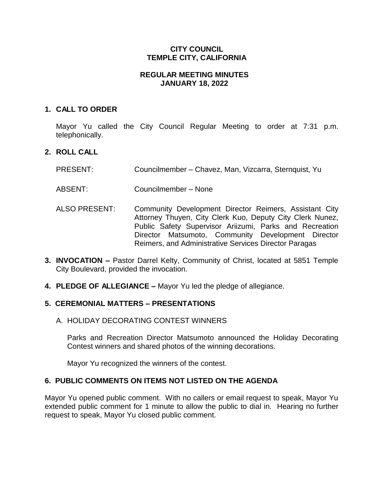# **CITY COUNCIL TEMPLE CITY, CALIFORNIA**

#### **REGULAR MEETING MINUTES JANUARY 18, 2022**

#### **1. CALL TO ORDER**

Mayor Yu called the City Council Regular Meeting to order at 7:31 p.m. telephonically.

# **2. ROLL CALL**

- PRESENT: Councilmember Chavez, Man, Vizcarra, Sternquist, Yu
- ABSENT: Councilmember None
- ALSO PRESENT: Community Development Director Reimers, Assistant City Attorney Thuyen, City Clerk Kuo, Deputy City Clerk Nunez, Public Safety Supervisor Ariizumi, Parks and Recreation Director Matsumoto, Community Development Director Reimers, and Administrative Services Director Paragas
- **3. INVOCATION –** Pastor Darrel Kelty, Community of Christ, located at 5851 Temple City Boulevard, provided the invocation.
- **4. PLEDGE OF ALLEGIANCE –** Mayor Yu led the pledge of allegiance.

#### **5. CEREMONIAL MATTERS – PRESENTATIONS**

A. HOLIDAY DECORATING CONTEST WINNERS

Parks and Recreation Director Matsumoto announced the Holiday Decorating Contest winners and shared photos of the winning decorations.

Mayor Yu recognized the winners of the contest.

#### **6. PUBLIC COMMENTS ON ITEMS NOT LISTED ON THE AGENDA**

Mayor Yu opened public comment. With no callers or email request to speak, Mayor Yu extended public comment for 1 minute to allow the public to dial in. Hearing no further request to speak, Mayor Yu closed public comment.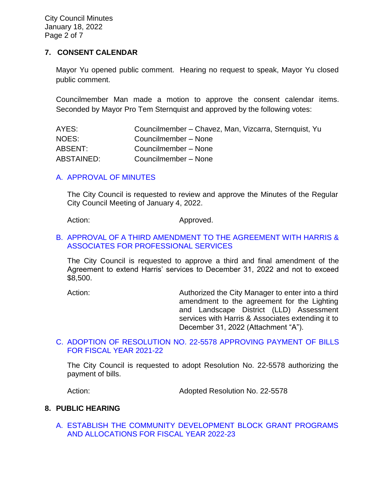City Council Minutes January 18, 2022 Page 2 of 7

#### **7. CONSENT CALENDAR**

Mayor Yu opened public comment. Hearing no request to speak, Mayor Yu closed public comment.

Councilmember Man made a motion to approve the consent calendar items. Seconded by Mayor Pro Tem Sternquist and approved by the following votes:

| AYES:      | Councilmember - Chavez, Man, Vizcarra, Sternquist, Yu |
|------------|-------------------------------------------------------|
| NOES:      | Councilmember - None                                  |
| ABSENT:    | Councilmember – None                                  |
| ABSTAINED: | Councilmember - None                                  |

#### [A. APPROVAL OF MINUTES](https://www.ci.temple-city.ca.us/DocumentCenter/View/17322/02-7A_CCM---2022-01-04)

The City Council is requested to review and approve the Minutes of the Regular City Council Meeting of January 4, 2022.

Action: Approved.

## B. [APPROVAL OF A THIRD AMENDMENT TO THE AGREEMENT WITH HARRIS &](https://www.ci.temple-city.ca.us/DocumentCenter/View/17323/03-7B_Agreement-with-Harris-and-Associates_Staff-Report-Third-Amendment-Harris-Extension-w-attachment)  [ASSOCIATES FOR PROFESSIONAL SERVICES](https://www.ci.temple-city.ca.us/DocumentCenter/View/17323/03-7B_Agreement-with-Harris-and-Associates_Staff-Report-Third-Amendment-Harris-Extension-w-attachment)

The City Council is requested to approve a third and final amendment of the Agreement to extend Harris' services to December 31, 2022 and not to exceed \$8,500.

Action: Authorized the City Manager to enter into a third amendment to the agreement for the Lighting and Landscape District (LLD) Assessment services with Harris & Associates extending it to December 31, 2022 (Attachment "A").

#### C. [ADOPTION OF RESOLUTION NO. 22-5578](https://www.ci.temple-city.ca.us/DocumentCenter/View/17318/04-7C_Warrants--Demands--Reso-No-22-5578-11822-FY-2021-2022-w-attachment) APPROVING PAYMENT OF BILLS [FOR FISCAL YEAR 2021-22](https://www.ci.temple-city.ca.us/DocumentCenter/View/17318/04-7C_Warrants--Demands--Reso-No-22-5578-11822-FY-2021-2022-w-attachment)

The City Council is requested to adopt Resolution No. 22-5578 authorizing the payment of bills.

Action: Adopted Resolution No. 22-5578

#### **8. PUBLIC HEARING**

A. [ESTABLISH THE COMMUNITY DEVELOPMENT BLOCK GRANT PROGRAMS](https://www.ci.temple-city.ca.us/DocumentCenter/View/17319/05-8A_CDBG_Staff-Report-FY-22-23-v3-w-attachments_2022-01-10)  [AND ALLOCATIONS FOR FISCAL YEAR 2022-23](https://www.ci.temple-city.ca.us/DocumentCenter/View/17319/05-8A_CDBG_Staff-Report-FY-22-23-v3-w-attachments_2022-01-10)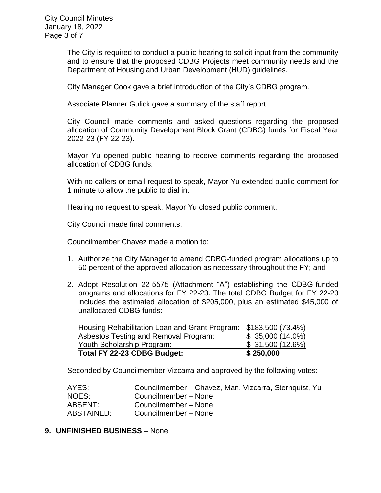City Council Minutes January 18, 2022 Page 3 of 7

> The City is required to conduct a public hearing to solicit input from the community and to ensure that the proposed CDBG Projects meet community needs and the Department of Housing and Urban Development (HUD) guidelines.

City Manager Cook gave a brief introduction of the City's CDBG program.

Associate Planner Gulick gave a summary of the staff report.

City Council made comments and asked questions regarding the proposed allocation of Community Development Block Grant (CDBG) funds for Fiscal Year 2022-23 (FY 22-23).

Mayor Yu opened public hearing to receive comments regarding the proposed allocation of CDBG funds.

With no callers or email request to speak, Mayor Yu extended public comment for 1 minute to allow the public to dial in.

Hearing no request to speak, Mayor Yu closed public comment.

City Council made final comments.

Councilmember Chavez made a motion to:

- 1. Authorize the City Manager to amend CDBG-funded program allocations up to 50 percent of the approved allocation as necessary throughout the FY; and
- 2. Adopt Resolution 22-5575 (Attachment "A") establishing the CDBG-funded programs and allocations for FY 22-23. The total CDBG Budget for FY 22-23 includes the estimated allocation of \$205,000, plus an estimated \$45,000 of unallocated CDBG funds:

| Total FY 22-23 CDBG Budget:                                      | \$250,000         |
|------------------------------------------------------------------|-------------------|
| Youth Scholarship Program:                                       | \$31,500 (12.6%)  |
| Asbestos Testing and Removal Program:                            | $$35,000(14.0\%)$ |
| Housing Rehabilitation Loan and Grant Program: \$183,500 (73.4%) |                   |

Seconded by Councilmember Vizcarra and approved by the following votes:

| AYES:      | Councilmember - Chavez, Man, Vizcarra, Sternquist, Yu |
|------------|-------------------------------------------------------|
| NOES:      | Councilmember - None                                  |
| ABSENT:    | Councilmember - None                                  |
| ABSTAINED: | Councilmember - None                                  |

#### **9. UNFINISHED BUSINESS** – None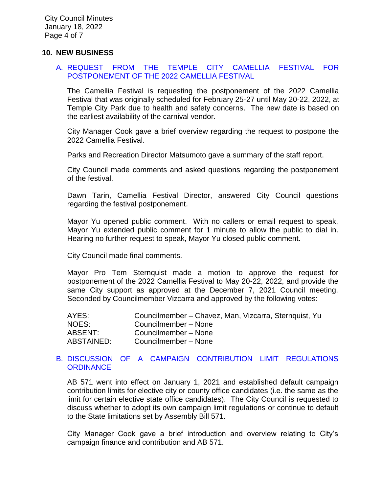#### **10. NEW BUSINESS**

#### A. [REQUEST FROM THE TEMPLE CITY CAMELLIA FESTIVAL FOR](https://www.ci.temple-city.ca.us/DocumentCenter/View/17320/06-10A_Camellia-Festival_Staff-Report-v10-w-attachment_2022-01-10)  [POSTPONEMENT OF THE 2022 CAMELLIA FESTIVAL](https://www.ci.temple-city.ca.us/DocumentCenter/View/17320/06-10A_Camellia-Festival_Staff-Report-v10-w-attachment_2022-01-10)

The Camellia Festival is requesting the postponement of the 2022 Camellia Festival that was originally scheduled for February 25-27 until May 20-22, 2022, at Temple City Park due to health and safety concerns. The new date is based on the earliest availability of the carnival vendor.

City Manager Cook gave a brief overview regarding the request to postpone the 2022 Camellia Festival.

Parks and Recreation Director Matsumoto gave a summary of the staff report.

City Council made comments and asked questions regarding the postponement of the festival.

Dawn Tarin, Camellia Festival Director, answered City Council questions regarding the festival postponement.

Mayor Yu opened public comment. With no callers or email request to speak, Mayor Yu extended public comment for 1 minute to allow the public to dial in. Hearing no further request to speak, Mayor Yu closed public comment.

City Council made final comments.

Mayor Pro Tem Sternquist made a motion to approve the request for postponement of the 2022 Camellia Festival to May 20-22, 2022, and provide the same City support as approved at the December 7, 2021 Council meeting. Seconded by Councilmember Vizcarra and approved by the following votes:

| AYES:      | Councilmember - Chavez, Man, Vizcarra, Sternquist, Yu |
|------------|-------------------------------------------------------|
| NOES:      | Councilmember - None                                  |
| ABSENT:    | Councilmember - None                                  |
| ABSTAINED: | Councilmember - None                                  |

#### B. DISCUSSION [OF A CAMPAIGN CONTRIBUTION LIMIT REGULATIONS](https://www.ci.temple-city.ca.us/DocumentCenter/View/17321/07-10B_Campaign-Contribution-Limit-AB-571_Staff-Report_v5_2022-01-11-w-attachments)  **[ORDINANCE](https://www.ci.temple-city.ca.us/DocumentCenter/View/17321/07-10B_Campaign-Contribution-Limit-AB-571_Staff-Report_v5_2022-01-11-w-attachments)**

AB 571 went into effect on January 1, 2021 and established default campaign contribution limits for elective city or county office candidates (i.e. the same as the limit for certain elective state office candidates). The City Council is requested to discuss whether to adopt its own campaign limit regulations or continue to default to the State limitations set by Assembly Bill 571.

City Manager Cook gave a brief introduction and overview relating to City's campaign finance and contribution and AB 571.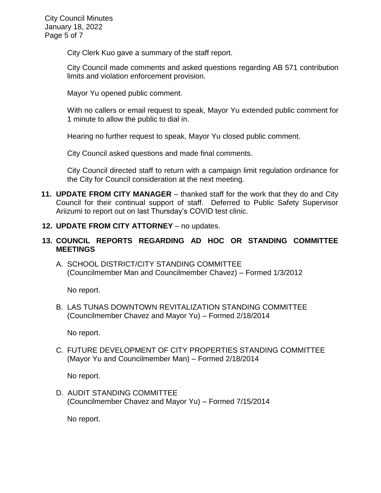City Council Minutes January 18, 2022 Page 5 of 7

City Clerk Kuo gave a summary of the staff report.

City Council made comments and asked questions regarding AB 571 contribution limits and violation enforcement provision.

Mayor Yu opened public comment.

With no callers or email request to speak, Mayor Yu extended public comment for 1 minute to allow the public to dial in.

Hearing no further request to speak, Mayor Yu closed public comment.

City Council asked questions and made final comments.

City Council directed staff to return with a campaign limit regulation ordinance for the City for Council consideration at the next meeting.

- **11. UPDATE FROM CITY MANAGER**  thanked staff for the work that they do and City Council for their continual support of staff. Deferred to Public Safety Supervisor Ariizumi to report out on last Thursday's COVID test clinic.
- **12. UPDATE FROM CITY ATTORNEY** no updates.

## **13. COUNCIL REPORTS REGARDING AD HOC OR STANDING COMMITTEE MEETINGS**

A. SCHOOL DISTRICT/CITY STANDING COMMITTEE (Councilmember Man and Councilmember Chavez) – Formed 1/3/2012

No report.

B. LAS TUNAS DOWNTOWN REVITALIZATION STANDING COMMITTEE (Councilmember Chavez and Mayor Yu) – Formed 2/18/2014

No report.

C. FUTURE DEVELOPMENT OF CITY PROPERTIES STANDING COMMITTEE (Mayor Yu and Councilmember Man) – Formed 2/18/2014

No report.

D. AUDIT STANDING COMMITTEE (Councilmember Chavez and Mayor Yu) – Formed 7/15/2014

No report.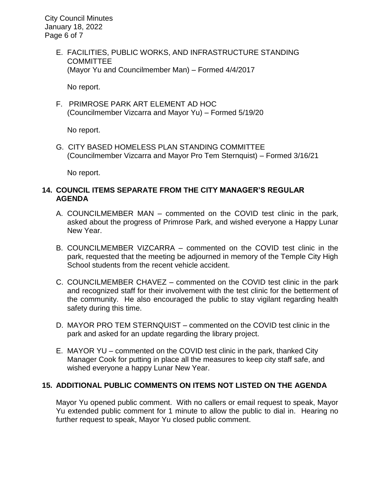City Council Minutes January 18, 2022 Page 6 of 7

> E. FACILITIES, PUBLIC WORKS, AND INFRASTRUCTURE STANDING **COMMITTEE** (Mayor Yu and Councilmember Man) – Formed 4/4/2017

No report.

F. PRIMROSE PARK ART ELEMENT AD HOC (Councilmember Vizcarra and Mayor Yu) – Formed 5/19/20

No report.

G. CITY BASED HOMELESS PLAN STANDING COMMITTEE (Councilmember Vizcarra and Mayor Pro Tem Sternquist) – Formed 3/16/21

No report.

## **14. COUNCIL ITEMS SEPARATE FROM THE CITY MANAGER'S REGULAR AGENDA**

- A. COUNCILMEMBER MAN commented on the COVID test clinic in the park, asked about the progress of Primrose Park, and wished everyone a Happy Lunar New Year.
- B. COUNCILMEMBER VIZCARRA commented on the COVID test clinic in the park, requested that the meeting be adjourned in memory of the Temple City High School students from the recent vehicle accident.
- C. COUNCILMEMBER CHAVEZ commented on the COVID test clinic in the park and recognized staff for their involvement with the test clinic for the betterment of the community. He also encouraged the public to stay vigilant regarding health safety during this time.
- D. MAYOR PRO TEM STERNQUIST commented on the COVID test clinic in the park and asked for an update regarding the library project.
- E. MAYOR YU commented on the COVID test clinic in the park, thanked City Manager Cook for putting in place all the measures to keep city staff safe, and wished everyone a happy Lunar New Year.

#### **15. ADDITIONAL PUBLIC COMMENTS ON ITEMS NOT LISTED ON THE AGENDA**

Mayor Yu opened public comment. With no callers or email request to speak, Mayor Yu extended public comment for 1 minute to allow the public to dial in. Hearing no further request to speak, Mayor Yu closed public comment.